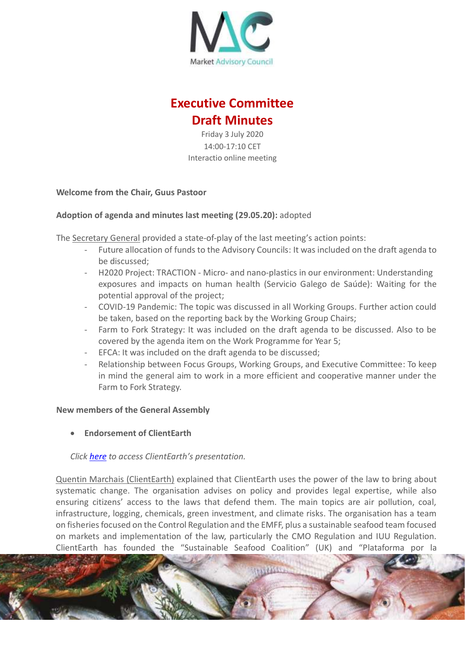

# **Executive Committee Draft Minutes**

Friday 3 July 2020 14:00-17:10 CET Interactio online meeting

## **Welcome from the Chair, Guus Pastoor**

# **Adoption of agenda and minutes last meeting (29.05.20):** adopted

The Secretary General provided a state-of-play of the last meeting's action points:

- Future allocation of funds to the Advisory Councils: It was included on the draft agenda to be discussed;
- H2020 Project: TRACTION Micro- and nano-plastics in our environment: Understanding exposures and impacts on human health (Servicio Galego de Saúde): Waiting for the potential approval of the project;
- COVID-19 Pandemic: The topic was discussed in all Working Groups. Further action could be taken, based on the reporting back by the Working Group Chairs;
- Farm to Fork Strategy: It was included on the draft agenda to be discussed. Also to be covered by the agenda item on the Work Programme for Year 5;
- EFCA: It was included on the draft agenda to be discussed;
- Relationship between Focus Groups, Working Groups, and Executive Committee: To keep in mind the general aim to work in a more efficient and cooperative manner under the Farm to Fork Strategy.

#### **New members of the General Assembly**

**Endorsement of ClientEarth**

# *Click [here](https://marketac.eu/wp-content/uploads/2020/06/ClientEarth-PowerPoint-MAC-EXCOM.pdf) to access ClientEarth's presentation.*

Quentin Marchais (ClientEarth) explained that ClientEarth uses the power of the law to bring about systematic change. The organisation advises on policy and provides legal expertise, while also ensuring citizens' access to the laws that defend them. The main topics are air pollution, coal, infrastructure, logging, chemicals, green investment, and climate risks. The organisation has a team on fisheries focused on the Control Regulation and the EMFF, plus a sustainable seafood team focused on markets and implementation of the law, particularly the CMO Regulation and IUU Regulation. ClientEarth has founded the "Sustainable Seafood Coalition" (UK) and "Plataforma por la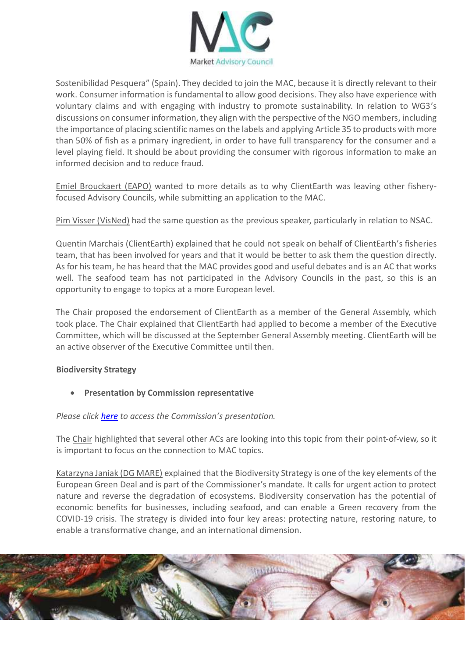

Sostenibilidad Pesquera" (Spain). They decided to join the MAC, because it is directly relevant to their work. Consumer information is fundamental to allow good decisions. They also have experience with voluntary claims and with engaging with industry to promote sustainability. In relation to WG3's discussions on consumer information, they align with the perspective of the NGO members, including the importance of placing scientific names on the labels and applying Article 35 to products with more than 50% of fish as a primary ingredient, in order to have full transparency for the consumer and a level playing field. It should be about providing the consumer with rigorous information to make an informed decision and to reduce fraud.

Emiel Brouckaert (EAPO) wanted to more details as to why ClientEarth was leaving other fisheryfocused Advisory Councils, while submitting an application to the MAC.

Pim Visser (VisNed) had the same question as the previous speaker, particularly in relation to NSAC.

Quentin Marchais (ClientEarth) explained that he could not speak on behalf of ClientEarth's fisheries team, that has been involved for years and that it would be better to ask them the question directly. As for his team, he has heard that the MAC provides good and useful debates and is an AC that works well. The seafood team has not participated in the Advisory Councils in the past, so this is an opportunity to engage to topics at a more European level.

The Chair proposed the endorsement of ClientEarth as a member of the General Assembly, which took place. The Chair explained that ClientEarth had applied to become a member of the Executive Committee, which will be discussed at the September General Assembly meeting. ClientEarth will be an active observer of the Executive Committee until then.

# **Biodiversity Strategy**

**Presentation by Commission representative**

# *Please click [here](https://marketac.eu/wp-content/uploads/2020/06/DG-MARE-Biodiversity-Strategy-ExCOM-03.07.2020.pdf) to access the Commission's presentation.*

The Chair highlighted that several other ACs are looking into this topic from their point-of-view, so it is important to focus on the connection to MAC topics.

Katarzyna Janiak (DG MARE) explained that the Biodiversity Strategy is one of the key elements of the European Green Deal and is part of the Commissioner's mandate. It calls for urgent action to protect nature and reverse the degradation of ecosystems. Biodiversity conservation has the potential of economic benefits for businesses, including seafood, and can enable a Green recovery from the COVID-19 crisis. The strategy is divided into four key areas: protecting nature, restoring nature, to enable a transformative change, and an international dimension.

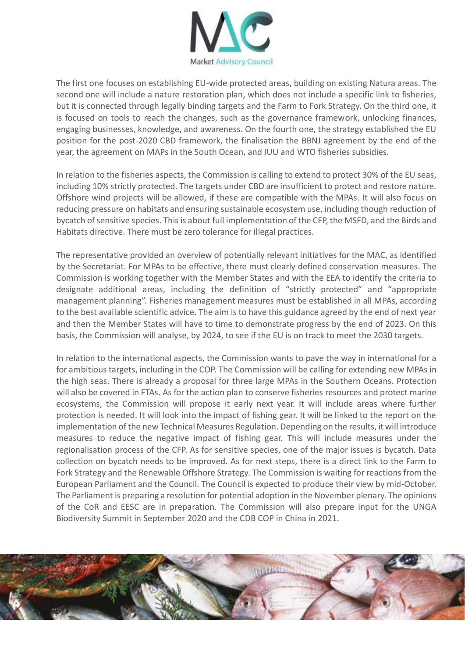

The first one focuses on establishing EU-wide protected areas, building on existing Natura areas. The second one will include a nature restoration plan, which does not include a specific link to fisheries, but it is connected through legally binding targets and the Farm to Fork Strategy. On the third one, it is focused on tools to reach the changes, such as the governance framework, unlocking finances, engaging businesses, knowledge, and awareness. On the fourth one, the strategy established the EU position for the post-2020 CBD framework, the finalisation the BBNJ agreement by the end of the year, the agreement on MAPs in the South Ocean, and IUU and WTO fisheries subsidies.

In relation to the fisheries aspects, the Commission is calling to extend to protect 30% of the EU seas, including 10% strictly protected. The targets under CBD are insufficient to protect and restore nature. Offshore wind projects will be allowed, if these are compatible with the MPAs. It will also focus on reducing pressure on habitats and ensuring sustainable ecosystem use, including though reduction of bycatch of sensitive species. This is about full implementation of the CFP, the MSFD, and the Birds and Habitats directive. There must be zero tolerance for illegal practices.

The representative provided an overview of potentially relevant initiatives for the MAC, as identified by the Secretariat. For MPAs to be effective, there must clearly defined conservation measures. The Commission is working together with the Member States and with the EEA to identify the criteria to designate additional areas, including the definition of "strictly protected" and "appropriate management planning". Fisheries management measures must be established in all MPAs, according to the best available scientific advice. The aim is to have this guidance agreed by the end of next year and then the Member States will have to time to demonstrate progress by the end of 2023. On this basis, the Commission will analyse, by 2024, to see if the EU is on track to meet the 2030 targets.

In relation to the international aspects, the Commission wants to pave the way in international for a for ambitious targets, including in the COP. The Commission will be calling for extending new MPAs in the high seas. There is already a proposal for three large MPAs in the Southern Oceans. Protection will also be covered in FTAs. As for the action plan to conserve fisheries resources and protect marine ecosystems, the Commission will propose it early next year. It will include areas where further protection is needed. It will look into the impact of fishing gear. It will be linked to the report on the implementation of the new Technical Measures Regulation. Depending on the results, it will introduce measures to reduce the negative impact of fishing gear. This will include measures under the regionalisation process of the CFP. As for sensitive species, one of the major issues is bycatch. Data collection on bycatch needs to be improved. As for next steps, there is a direct link to the Farm to Fork Strategy and the Renewable Offshore Strategy. The Commission is waiting for reactions from the European Parliament and the Council. The Council is expected to produce their view by mid-October. The Parliament is preparing a resolution for potential adoption in the November plenary. The opinions of the CoR and EESC are in preparation. The Commission will also prepare input for the UNGA Biodiversity Summit in September 2020 and the CDB COP in China in 2021.

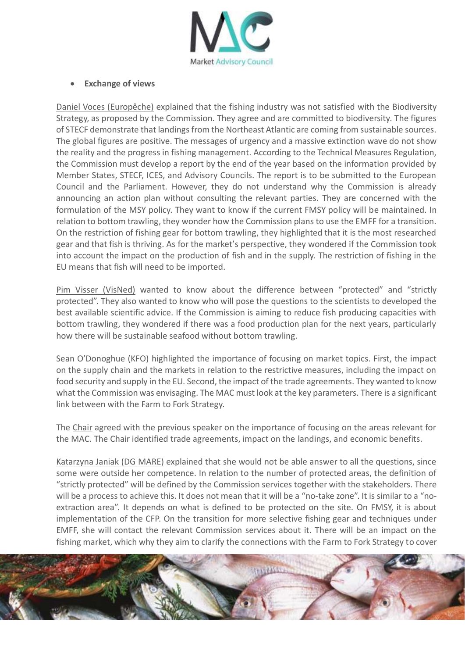

## **Exchange of views**

Daniel Voces (Europêche) explained that the fishing industry was not satisfied with the Biodiversity Strategy, as proposed by the Commission. They agree and are committed to biodiversity. The figures of STECF demonstrate that landings from the Northeast Atlantic are coming from sustainable sources. The global figures are positive. The messages of urgency and a massive extinction wave do not show the reality and the progress in fishing management. According to the Technical Measures Regulation, the Commission must develop a report by the end of the year based on the information provided by Member States, STECF, ICES, and Advisory Councils. The report is to be submitted to the European Council and the Parliament. However, they do not understand why the Commission is already announcing an action plan without consulting the relevant parties. They are concerned with the formulation of the MSY policy. They want to know if the current FMSY policy will be maintained. In relation to bottom trawling, they wonder how the Commission plans to use the EMFF for a transition. On the restriction of fishing gear for bottom trawling, they highlighted that it is the most researched gear and that fish is thriving. As for the market's perspective, they wondered if the Commission took into account the impact on the production of fish and in the supply. The restriction of fishing in the EU means that fish will need to be imported.

Pim Visser (VisNed) wanted to know about the difference between "protected" and "strictly protected". They also wanted to know who will pose the questions to the scientists to developed the best available scientific advice. If the Commission is aiming to reduce fish producing capacities with bottom trawling, they wondered if there was a food production plan for the next years, particularly how there will be sustainable seafood without bottom trawling.

Sean O'Donoghue (KFO) highlighted the importance of focusing on market topics. First, the impact on the supply chain and the markets in relation to the restrictive measures, including the impact on food security and supply in the EU. Second, the impact of the trade agreements. They wanted to know what the Commission was envisaging. The MAC must look at the key parameters. There is a significant link between with the Farm to Fork Strategy.

The Chair agreed with the previous speaker on the importance of focusing on the areas relevant for the MAC. The Chair identified trade agreements, impact on the landings, and economic benefits.

Katarzyna Janiak (DG MARE) explained that she would not be able answer to all the questions, since some were outside her competence. In relation to the number of protected areas, the definition of "strictly protected" will be defined by the Commission services together with the stakeholders. There will be a process to achieve this. It does not mean that it will be a "no-take zone". It is similar to a "noextraction area". It depends on what is defined to be protected on the site. On FMSY, it is about implementation of the CFP. On the transition for more selective fishing gear and techniques under EMFF, she will contact the relevant Commission services about it. There will be an impact on the fishing market, which why they aim to clarify the connections with the Farm to Fork Strategy to cover

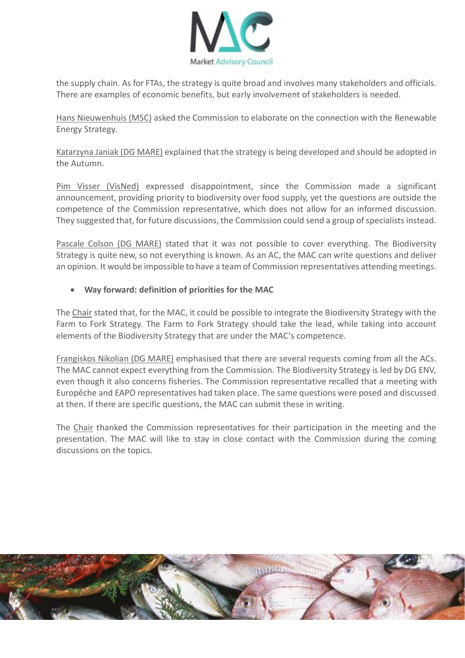

the supply chain. As for FTAs, the strategy is quite broad and involves many stakeholders and officials. There are examples of economic benefits, but early involvement of stakeholders is needed.

Hans Nieuwenhuis (MSC) asked the Commission to elaborate on the connection with the Renewable Energy Strategy.

Katarzyna Janiak (DG MARE) explained that the strategy is being developed and should be adopted in the Autumn.

Pim Visser (VisNed) expressed disappointment, since the Commission made a significant announcement, providing priority to biodiversity over food supply, yet the questions are outside the competence of the Commission representative, which does not allow for an informed discussion. They suggested that, for future discussions, the Commission could send a group of specialists instead.

Pascale Colson (DG MARE) stated that it was not possible to cover everything. The Biodiversity Strategy is quite new, so not everything is known. As an AC, the MAC can write questions and deliver an opinion. It would be impossible to have a team of Commission representatives attending meetings.

# **Way forward: definition of priorities for the MAC**

The Chair stated that, for the MAC, it could be possible to integrate the Biodiversity Strategy with the Farm to Fork Strategy. The Farm to Fork Strategy should take the lead, while taking into account elements of the Biodiversity Strategy that are under the MAC's competence.

Frangiskos Nikolian (DG MARE) emphasised that there are several requests coming from all the ACs. The MAC cannot expect everything from the Commission. The Biodiversity Strategy is led by DG ENV, even though it also concerns fisheries. The Commission representative recalled that a meeting with Europêche and EAPO representatives had taken place. The same questions were posed and discussed at then. If there are specific questions, the MAC can submit these in writing.

The Chair thanked the Commission representatives for their participation in the meeting and the presentation. The MAC will like to stay in close contact with the Commission during the coming discussions on the topics.

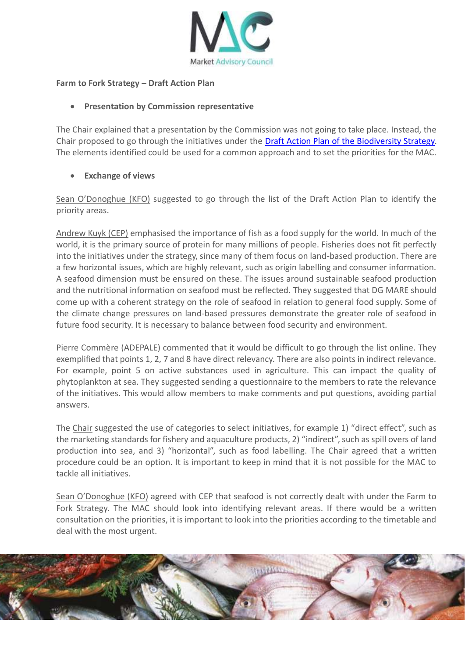

#### **Farm to Fork Strategy – Draft Action Plan**

## **Presentation by Commission representative**

The Chair explained that a presentation by the Commission was not going to take place. Instead, the Chair proposed to go through the initiatives under the [Draft Action Plan of the Biodiversity Strategy.](https://eur-lex.europa.eu/legal-content/EN/TXT/?qid=1590574123338&uri=CELEX:52020DC0380) The elements identified could be used for a common approach and to set the priorities for the MAC.

# **Exchange of views**

Sean O'Donoghue (KFO) suggested to go through the list of the Draft Action Plan to identify the priority areas.

Andrew Kuyk (CEP) emphasised the importance of fish as a food supply for the world. In much of the world, it is the primary source of protein for many millions of people. Fisheries does not fit perfectly into the initiatives under the strategy, since many of them focus on land-based production. There are a few horizontal issues, which are highly relevant, such as origin labelling and consumer information. A seafood dimension must be ensured on these. The issues around sustainable seafood production and the nutritional information on seafood must be reflected. They suggested that DG MARE should come up with a coherent strategy on the role of seafood in relation to general food supply. Some of the climate change pressures on land-based pressures demonstrate the greater role of seafood in future food security. It is necessary to balance between food security and environment.

Pierre Commère (ADEPALE) commented that it would be difficult to go through the list online. They exemplified that points 1, 2, 7 and 8 have direct relevancy. There are also points in indirect relevance. For example, point 5 on active substances used in agriculture. This can impact the quality of phytoplankton at sea. They suggested sending a questionnaire to the members to rate the relevance of the initiatives. This would allow members to make comments and put questions, avoiding partial answers.

The Chair suggested the use of categories to select initiatives, for example 1) "direct effect", such as the marketing standards for fishery and aquaculture products, 2) "indirect", such as spill overs of land production into sea, and 3) "horizontal", such as food labelling. The Chair agreed that a written procedure could be an option. It is important to keep in mind that it is not possible for the MAC to tackle all initiatives.

Sean O'Donoghue (KFO) agreed with CEP that seafood is not correctly dealt with under the Farm to Fork Strategy. The MAC should look into identifying relevant areas. If there would be a written consultation on the priorities, it is important to look into the priorities according to the timetable and deal with the most urgent.

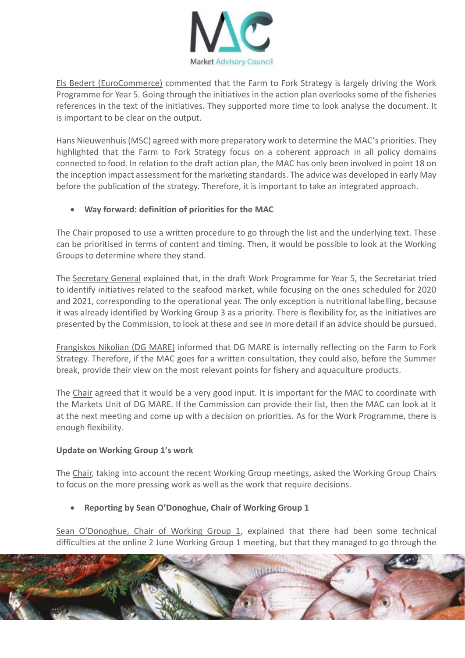

Els Bedert (EuroCommerce) commented that the Farm to Fork Strategy is largely driving the Work Programme for Year 5. Going through the initiatives in the action plan overlooks some of the fisheries references in the text of the initiatives. They supported more time to look analyse the document. It is important to be clear on the output.

Hans Nieuwenhuis (MSC) agreed with more preparatory work to determine the MAC's priorities. They highlighted that the Farm to Fork Strategy focus on a coherent approach in all policy domains connected to food. In relation to the draft action plan, the MAC has only been involved in point 18 on the inception impact assessment for the marketing standards. The advice was developed in early May before the publication of the strategy. Therefore, it is important to take an integrated approach.

# **Way forward: definition of priorities for the MAC**

The Chair proposed to use a written procedure to go through the list and the underlying text. These can be prioritised in terms of content and timing. Then, it would be possible to look at the Working Groups to determine where they stand.

The Secretary General explained that, in the draft Work Programme for Year 5, the Secretariat tried to identify initiatives related to the seafood market, while focusing on the ones scheduled for 2020 and 2021, corresponding to the operational year. The only exception is nutritional labelling, because it was already identified by Working Group 3 as a priority. There is flexibility for, as the initiatives are presented by the Commission, to look at these and see in more detail if an advice should be pursued.

Frangiskos Nikolian (DG MARE) informed that DG MARE is internally reflecting on the Farm to Fork Strategy. Therefore, if the MAC goes for a written consultation, they could also, before the Summer break, provide their view on the most relevant points for fishery and aquaculture products.

The Chair agreed that it would be a very good input. It is important for the MAC to coordinate with the Markets Unit of DG MARE. If the Commission can provide their list, then the MAC can look at it at the next meeting and come up with a decision on priorities. As for the Work Programme, there is enough flexibility.

#### **Update on Working Group 1's work**

The Chair, taking into account the recent Working Group meetings, asked the Working Group Chairs to focus on the more pressing work as well as the work that require decisions.

# **Reporting by Sean O'Donoghue, Chair of Working Group 1**

Sean O'Donoghue, Chair of Working Group 1, explained that there had been some technical difficulties at the online 2 June Working Group 1 meeting, but that they managed to go through the

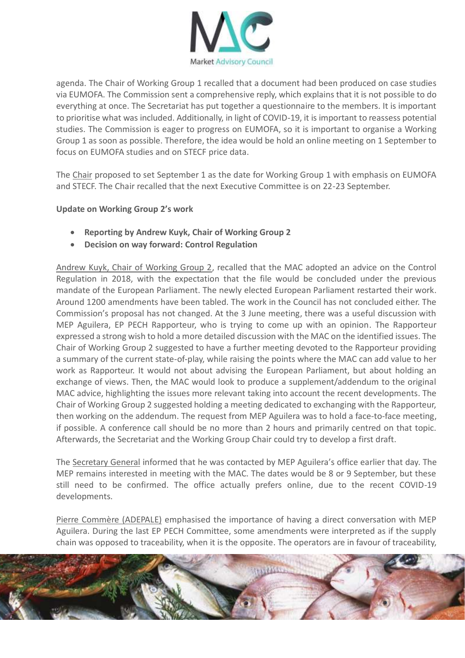

agenda. The Chair of Working Group 1 recalled that a document had been produced on case studies via EUMOFA. The Commission sent a comprehensive reply, which explains that it is not possible to do everything at once. The Secretariat has put together a questionnaire to the members. It is important to prioritise what was included. Additionally, in light of COVID-19, it is important to reassess potential studies. The Commission is eager to progress on EUMOFA, so it is important to organise a Working Group 1 as soon as possible. Therefore, the idea would be hold an online meeting on 1 September to focus on EUMOFA studies and on STECF price data.

The Chair proposed to set September 1 as the date for Working Group 1 with emphasis on EUMOFA and STECF. The Chair recalled that the next Executive Committee is on 22-23 September.

## **Update on Working Group 2's work**

- **Reporting by Andrew Kuyk, Chair of Working Group 2**
- **Decision on way forward: Control Regulation**

Andrew Kuyk, Chair of Working Group 2, recalled that the MAC adopted an advice on the Control Regulation in 2018, with the expectation that the file would be concluded under the previous mandate of the European Parliament. The newly elected European Parliament restarted their work. Around 1200 amendments have been tabled. The work in the Council has not concluded either. The Commission's proposal has not changed. At the 3 June meeting, there was a useful discussion with MEP Aguilera, EP PECH Rapporteur, who is trying to come up with an opinion. The Rapporteur expressed a strong wish to hold a more detailed discussion with the MAC on the identified issues. The Chair of Working Group 2 suggested to have a further meeting devoted to the Rapporteur providing a summary of the current state-of-play, while raising the points where the MAC can add value to her work as Rapporteur. It would not about advising the European Parliament, but about holding an exchange of views. Then, the MAC would look to produce a supplement/addendum to the original MAC advice, highlighting the issues more relevant taking into account the recent developments. The Chair of Working Group 2 suggested holding a meeting dedicated to exchanging with the Rapporteur, then working on the addendum. The request from MEP Aguilera was to hold a face-to-face meeting, if possible. A conference call should be no more than 2 hours and primarily centred on that topic. Afterwards, the Secretariat and the Working Group Chair could try to develop a first draft.

The Secretary General informed that he was contacted by MEP Aguilera's office earlier that day. The MEP remains interested in meeting with the MAC. The dates would be 8 or 9 September, but these still need to be confirmed. The office actually prefers online, due to the recent COVID-19 developments.

Pierre Commère (ADEPALE) emphasised the importance of having a direct conversation with MEP Aguilera. During the last EP PECH Committee, some amendments were interpreted as if the supply chain was opposed to traceability, when it is the opposite. The operators are in favour of traceability,

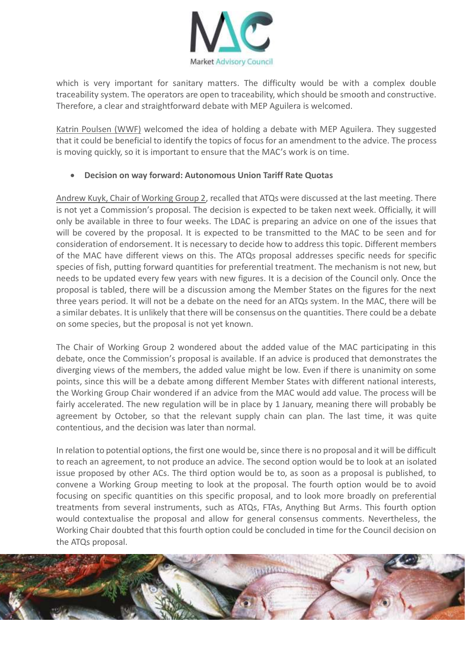

which is very important for sanitary matters. The difficulty would be with a complex double traceability system. The operators are open to traceability, which should be smooth and constructive. Therefore, a clear and straightforward debate with MEP Aguilera is welcomed.

Katrin Poulsen (WWF) welcomed the idea of holding a debate with MEP Aguilera. They suggested that it could be beneficial to identify the topics of focus for an amendment to the advice. The process is moving quickly, so it is important to ensure that the MAC's work is on time.

# **Decision on way forward: Autonomous Union Tariff Rate Quotas**

Andrew Kuyk, Chair of Working Group 2, recalled that ATQs were discussed at the last meeting. There is not yet a Commission's proposal. The decision is expected to be taken next week. Officially, it will only be available in three to four weeks. The LDAC is preparing an advice on one of the issues that will be covered by the proposal. It is expected to be transmitted to the MAC to be seen and for consideration of endorsement. It is necessary to decide how to address this topic. Different members of the MAC have different views on this. The ATQs proposal addresses specific needs for specific species of fish, putting forward quantities for preferential treatment. The mechanism is not new, but needs to be updated every few years with new figures. It is a decision of the Council only. Once the proposal is tabled, there will be a discussion among the Member States on the figures for the next three years period. It will not be a debate on the need for an ATQs system. In the MAC, there will be a similar debates. It is unlikely that there will be consensus on the quantities. There could be a debate on some species, but the proposal is not yet known.

The Chair of Working Group 2 wondered about the added value of the MAC participating in this debate, once the Commission's proposal is available. If an advice is produced that demonstrates the diverging views of the members, the added value might be low. Even if there is unanimity on some points, since this will be a debate among different Member States with different national interests, the Working Group Chair wondered if an advice from the MAC would add value. The process will be fairly accelerated. The new regulation will be in place by 1 January, meaning there will probably be agreement by October, so that the relevant supply chain can plan. The last time, it was quite contentious, and the decision was later than normal.

In relation to potential options, the first one would be, since there is no proposal and it will be difficult to reach an agreement, to not produce an advice. The second option would be to look at an isolated issue proposed by other ACs. The third option would be to, as soon as a proposal is published, to convene a Working Group meeting to look at the proposal. The fourth option would be to avoid focusing on specific quantities on this specific proposal, and to look more broadly on preferential treatments from several instruments, such as ATQs, FTAs, Anything But Arms. This fourth option would contextualise the proposal and allow for general consensus comments. Nevertheless, the Working Chair doubted that this fourth option could be concluded in time for the Council decision on the ATQs proposal.

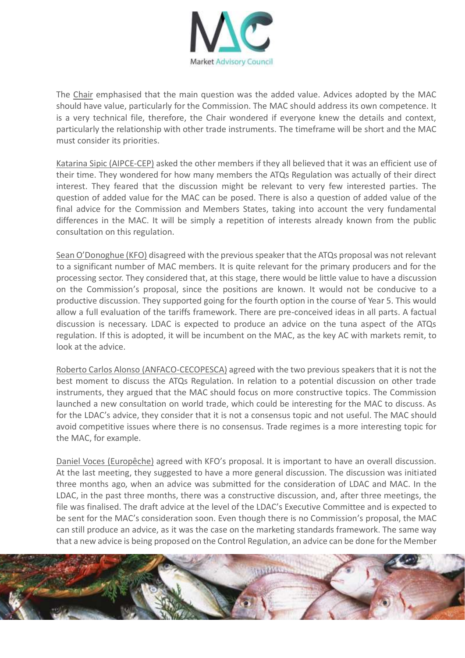

The Chair emphasised that the main question was the added value. Advices adopted by the MAC should have value, particularly for the Commission. The MAC should address its own competence. It is a very technical file, therefore, the Chair wondered if everyone knew the details and context, particularly the relationship with other trade instruments. The timeframe will be short and the MAC must consider its priorities.

Katarina Sipic (AIPCE-CEP) asked the other members if they all believed that it was an efficient use of their time. They wondered for how many members the ATQs Regulation was actually of their direct interest. They feared that the discussion might be relevant to very few interested parties. The question of added value for the MAC can be posed. There is also a question of added value of the final advice for the Commission and Members States, taking into account the very fundamental differences in the MAC. It will be simply a repetition of interests already known from the public consultation on this regulation.

Sean O'Donoghue (KFO) disagreed with the previous speaker that the ATQs proposal was not relevant to a significant number of MAC members. It is quite relevant for the primary producers and for the processing sector. They considered that, at this stage, there would be little value to have a discussion on the Commission's proposal, since the positions are known. It would not be conducive to a productive discussion. They supported going for the fourth option in the course of Year 5. This would allow a full evaluation of the tariffs framework. There are pre-conceived ideas in all parts. A factual discussion is necessary. LDAC is expected to produce an advice on the tuna aspect of the ATQs regulation. If this is adopted, it will be incumbent on the MAC, as the key AC with markets remit, to look at the advice.

Roberto Carlos Alonso (ANFACO-CECOPESCA) agreed with the two previous speakers that it is not the best moment to discuss the ATQs Regulation. In relation to a potential discussion on other trade instruments, they argued that the MAC should focus on more constructive topics. The Commission launched a new consultation on world trade, which could be interesting for the MAC to discuss. As for the LDAC's advice, they consider that it is not a consensus topic and not useful. The MAC should avoid competitive issues where there is no consensus. Trade regimes is a more interesting topic for the MAC, for example.

Daniel Voces (Europêche) agreed with KFO's proposal. It is important to have an overall discussion. At the last meeting, they suggested to have a more general discussion. The discussion was initiated three months ago, when an advice was submitted for the consideration of LDAC and MAC. In the LDAC, in the past three months, there was a constructive discussion, and, after three meetings, the file was finalised. The draft advice at the level of the LDAC's Executive Committee and is expected to be sent for the MAC's consideration soon. Even though there is no Commission's proposal, the MAC can still produce an advice, as it was the case on the marketing standards framework. The same way that a new advice is being proposed on the Control Regulation, an advice can be done for the Member

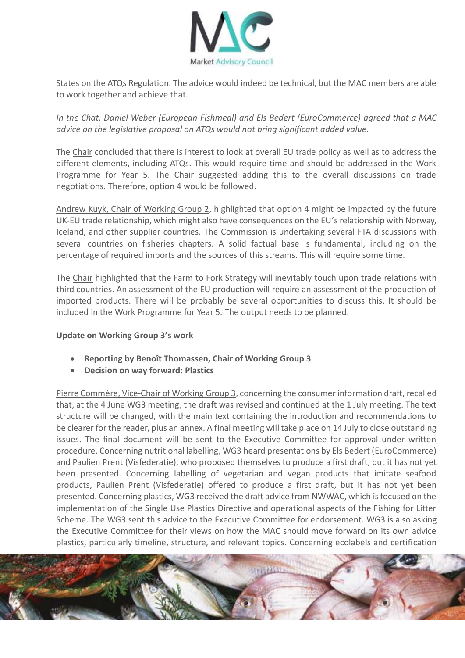

States on the ATQs Regulation. The advice would indeed be technical, but the MAC members are able to work together and achieve that.

*In the Chat, Daniel Weber (European Fishmeal) and Els Bedert (EuroCommerce) agreed that a MAC advice on the legislative proposal on ATQs would not bring significant added value.*

The Chair concluded that there is interest to look at overall EU trade policy as well as to address the different elements, including ATQs. This would require time and should be addressed in the Work Programme for Year 5. The Chair suggested adding this to the overall discussions on trade negotiations. Therefore, option 4 would be followed.

Andrew Kuyk, Chair of Working Group 2, highlighted that option 4 might be impacted by the future UK-EU trade relationship, which might also have consequences on the EU's relationship with Norway, Iceland, and other supplier countries. The Commission is undertaking several FTA discussions with several countries on fisheries chapters. A solid factual base is fundamental, including on the percentage of required imports and the sources of this streams. This will require some time.

The Chair highlighted that the Farm to Fork Strategy will inevitably touch upon trade relations with third countries. An assessment of the EU production will require an assessment of the production of imported products. There will be probably be several opportunities to discuss this. It should be included in the Work Programme for Year 5. The output needs to be planned.

#### **Update on Working Group 3's work**

- **Reporting by Benoît Thomassen, Chair of Working Group 3**
- **Decision on way forward: Plastics**

Pierre Commère, Vice-Chair of Working Group 3, concerning the consumer information draft, recalled that, at the 4 June WG3 meeting, the draft was revised and continued at the 1 July meeting. The text structure will be changed, with the main text containing the introduction and recommendations to be clearer for the reader, plus an annex. A final meeting will take place on 14 July to close outstanding issues. The final document will be sent to the Executive Committee for approval under written procedure. Concerning nutritional labelling, WG3 heard presentations by Els Bedert (EuroCommerce) and Paulien Prent (Visfederatie), who proposed themselves to produce a first draft, but it has not yet been presented. Concerning labelling of vegetarian and vegan products that imitate seafood products, Paulien Prent (Visfederatie) offered to produce a first draft, but it has not yet been presented. Concerning plastics, WG3 received the draft advice from NWWAC, which is focused on the implementation of the Single Use Plastics Directive and operational aspects of the Fishing for Litter Scheme. The WG3 sent this advice to the Executive Committee for endorsement. WG3 is also asking the Executive Committee for their views on how the MAC should move forward on its own advice plastics, particularly timeline, structure, and relevant topics. Concerning ecolabels and certification

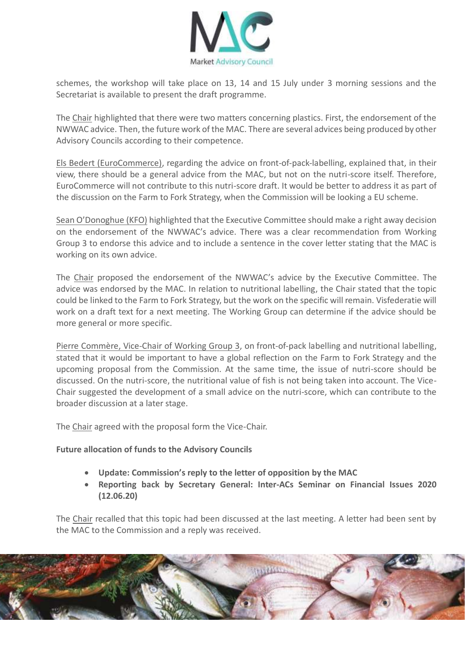

schemes, the workshop will take place on 13, 14 and 15 July under 3 morning sessions and the Secretariat is available to present the draft programme.

The Chair highlighted that there were two matters concerning plastics. First, the endorsement of the NWWAC advice. Then, the future work of the MAC. There are several advices being produced by other Advisory Councils according to their competence.

Els Bedert (EuroCommerce), regarding the advice on front-of-pack-labelling, explained that, in their view, there should be a general advice from the MAC, but not on the nutri-score itself. Therefore, EuroCommerce will not contribute to this nutri-score draft. It would be better to address it as part of the discussion on the Farm to Fork Strategy, when the Commission will be looking a EU scheme.

Sean O'Donoghue (KFO) highlighted that the Executive Committee should make a right away decision on the endorsement of the NWWAC's advice. There was a clear recommendation from Working Group 3 to endorse this advice and to include a sentence in the cover letter stating that the MAC is working on its own advice.

The Chair proposed the endorsement of the NWWAC's advice by the Executive Committee. The advice was endorsed by the MAC. In relation to nutritional labelling, the Chair stated that the topic could be linked to the Farm to Fork Strategy, but the work on the specific will remain. Visfederatie will work on a draft text for a next meeting. The Working Group can determine if the advice should be more general or more specific.

Pierre Commère, Vice-Chair of Working Group 3, on front-of-pack labelling and nutritional labelling, stated that it would be important to have a global reflection on the Farm to Fork Strategy and the upcoming proposal from the Commission. At the same time, the issue of nutri-score should be discussed. On the nutri-score, the nutritional value of fish is not being taken into account. The Vice-Chair suggested the development of a small advice on the nutri-score, which can contribute to the broader discussion at a later stage.

The Chair agreed with the proposal form the Vice-Chair.

#### **Future allocation of funds to the Advisory Councils**

- **Update: Commission's reply to the letter of opposition by the MAC**
- **Reporting back by Secretary General: Inter-ACs Seminar on Financial Issues 2020 (12.06.20)**

The Chair recalled that this topic had been discussed at the last meeting. A letter had been sent by the MAC to the Commission and a reply was received.

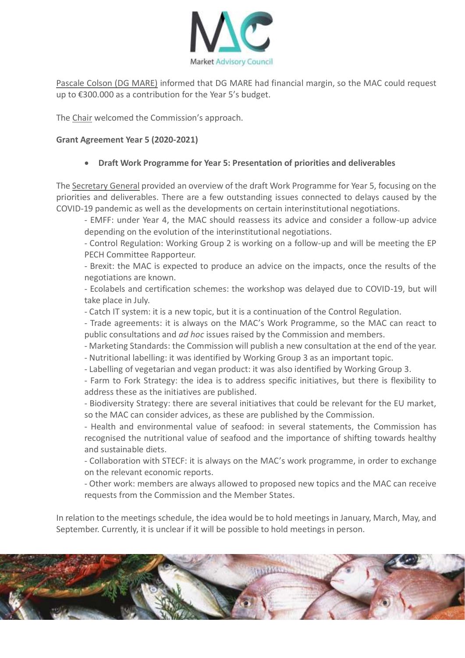

Pascale Colson (DG MARE) informed that DG MARE had financial margin, so the MAC could request up to €300.000 as a contribution for the Year 5's budget.

The Chair welcomed the Commission's approach.

## **Grant Agreement Year 5 (2020-2021)**

## **Draft Work Programme for Year 5: Presentation of priorities and deliverables**

The Secretary General provided an overview of the draft Work Programme for Year 5, focusing on the priorities and deliverables. There are a few outstanding issues connected to delays caused by the COVID-19 pandemic as well as the developments on certain interinstitutional negotiations.

- EMFF: under Year 4, the MAC should reassess its advice and consider a follow-up advice depending on the evolution of the interinstitutional negotiations.

- Control Regulation: Working Group 2 is working on a follow-up and will be meeting the EP PECH Committee Rapporteur.

- Brexit: the MAC is expected to produce an advice on the impacts, once the results of the negotiations are known.

- Ecolabels and certification schemes: the workshop was delayed due to COVID-19, but will take place in July.

- Catch IT system: it is a new topic, but it is a continuation of the Control Regulation.

- Trade agreements: it is always on the MAC's Work Programme, so the MAC can react to public consultations and *ad hoc* issues raised by the Commission and members.

- Marketing Standards: the Commission will publish a new consultation at the end of the year.

- Nutritional labelling: it was identified by Working Group 3 as an important topic.
- Labelling of vegetarian and vegan product: it was also identified by Working Group 3.

- Farm to Fork Strategy: the idea is to address specific initiatives, but there is flexibility to address these as the initiatives are published.

- Biodiversity Strategy: there are several initiatives that could be relevant for the EU market, so the MAC can consider advices, as these are published by the Commission.

- Health and environmental value of seafood: in several statements, the Commission has recognised the nutritional value of seafood and the importance of shifting towards healthy and sustainable diets.

- Collaboration with STECF: it is always on the MAC's work programme, in order to exchange on the relevant economic reports.

- Other work: members are always allowed to proposed new topics and the MAC can receive requests from the Commission and the Member States.

In relation to the meetings schedule, the idea would be to hold meetings in January, March, May, and September. Currently, it is unclear if it will be possible to hold meetings in person.

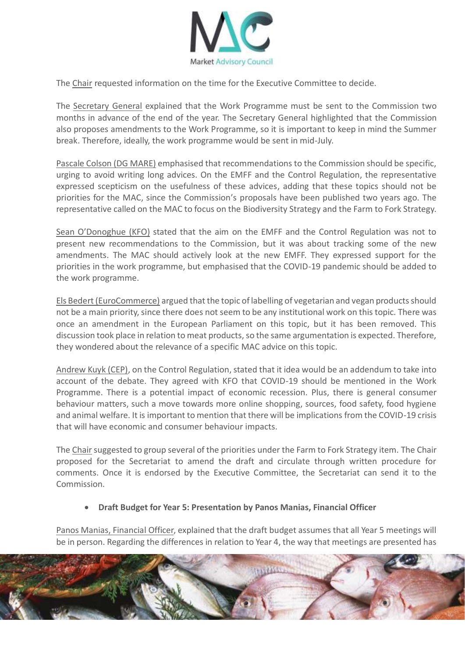

The Chair requested information on the time for the Executive Committee to decide.

The Secretary General explained that the Work Programme must be sent to the Commission two months in advance of the end of the year. The Secretary General highlighted that the Commission also proposes amendments to the Work Programme, so it is important to keep in mind the Summer break. Therefore, ideally, the work programme would be sent in mid-July.

Pascale Colson (DG MARE) emphasised that recommendations to the Commission should be specific, urging to avoid writing long advices. On the EMFF and the Control Regulation, the representative expressed scepticism on the usefulness of these advices, adding that these topics should not be priorities for the MAC, since the Commission's proposals have been published two years ago. The representative called on the MAC to focus on the Biodiversity Strategy and the Farm to Fork Strategy.

Sean O'Donoghue (KFO) stated that the aim on the EMFF and the Control Regulation was not to present new recommendations to the Commission, but it was about tracking some of the new amendments. The MAC should actively look at the new EMFF. They expressed support for the priorities in the work programme, but emphasised that the COVID-19 pandemic should be added to the work programme.

Els Bedert (EuroCommerce) argued that the topic of labelling of vegetarian and vegan products should not be a main priority, since there does not seem to be any institutional work on this topic. There was once an amendment in the European Parliament on this topic, but it has been removed. This discussion took place in relation to meat products, so the same argumentation is expected. Therefore, they wondered about the relevance of a specific MAC advice on this topic.

Andrew Kuyk (CEP), on the Control Regulation, stated that it idea would be an addendum to take into account of the debate. They agreed with KFO that COVID-19 should be mentioned in the Work Programme. There is a potential impact of economic recession. Plus, there is general consumer behaviour matters, such a move towards more online shopping, sources, food safety, food hygiene and animal welfare. It is important to mention that there will be implications from the COVID-19 crisis that will have economic and consumer behaviour impacts.

The Chair suggested to group several of the priorities under the Farm to Fork Strategy item. The Chair proposed for the Secretariat to amend the draft and circulate through written procedure for comments. Once it is endorsed by the Executive Committee, the Secretariat can send it to the Commission.

#### **Draft Budget for Year 5: Presentation by Panos Manias, Financial Officer**

Panos Manias, Financial Officer, explained that the draft budget assumes that all Year 5 meetings will be in person. Regarding the differences in relation to Year 4, the way that meetings are presented has

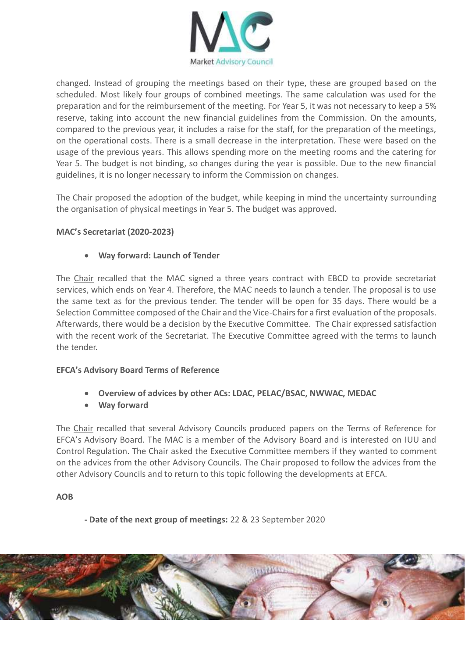

changed. Instead of grouping the meetings based on their type, these are grouped based on the scheduled. Most likely four groups of combined meetings. The same calculation was used for the preparation and for the reimbursement of the meeting. For Year 5, it was not necessary to keep a 5% reserve, taking into account the new financial guidelines from the Commission. On the amounts, compared to the previous year, it includes a raise for the staff, for the preparation of the meetings, on the operational costs. There is a small decrease in the interpretation. These were based on the usage of the previous years. This allows spending more on the meeting rooms and the catering for Year 5. The budget is not binding, so changes during the year is possible. Due to the new financial guidelines, it is no longer necessary to inform the Commission on changes.

The Chair proposed the adoption of the budget, while keeping in mind the uncertainty surrounding the organisation of physical meetings in Year 5. The budget was approved.

# **MAC's Secretariat (2020-2023)**

## **Way forward: Launch of Tender**

The Chair recalled that the MAC signed a three years contract with EBCD to provide secretariat services, which ends on Year 4. Therefore, the MAC needs to launch a tender. The proposal is to use the same text as for the previous tender. The tender will be open for 35 days. There would be a Selection Committee composed of the Chair and the Vice-Chairs for a first evaluation of the proposals. Afterwards, there would be a decision by the Executive Committee. The Chair expressed satisfaction with the recent work of the Secretariat. The Executive Committee agreed with the terms to launch the tender.

#### **EFCA's Advisory Board Terms of Reference**

- **Overview of advices by other ACs: LDAC, PELAC/BSAC, NWWAC, MEDAC**
- **Way forward**

The Chair recalled that several Advisory Councils produced papers on the Terms of Reference for EFCA's Advisory Board. The MAC is a member of the Advisory Board and is interested on IUU and Control Regulation. The Chair asked the Executive Committee members if they wanted to comment on the advices from the other Advisory Councils. The Chair proposed to follow the advices from the other Advisory Councils and to return to this topic following the developments at EFCA.

#### **AOB**

**- Date of the next group of meetings:** 22 & 23 September 2020

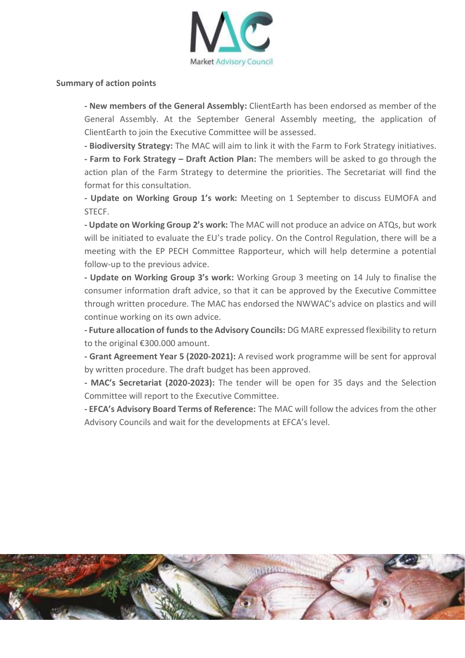

#### **Summary of action points**

**- New members of the General Assembly:** ClientEarth has been endorsed as member of the General Assembly. At the September General Assembly meeting, the application of ClientEarth to join the Executive Committee will be assessed.

**- Biodiversity Strategy:** The MAC will aim to link it with the Farm to Fork Strategy initiatives. **- Farm to Fork Strategy – Draft Action Plan:** The members will be asked to go through the action plan of the Farm Strategy to determine the priorities. The Secretariat will find the format for this consultation.

**- Update on Working Group 1's work:** Meeting on 1 September to discuss EUMOFA and STECF.

**- Update on Working Group 2's work:** The MAC will not produce an advice on ATQs, but work will be initiated to evaluate the EU's trade policy. On the Control Regulation, there will be a meeting with the EP PECH Committee Rapporteur, which will help determine a potential follow-up to the previous advice.

**- Update on Working Group 3's work:** Working Group 3 meeting on 14 July to finalise the consumer information draft advice, so that it can be approved by the Executive Committee through written procedure. The MAC has endorsed the NWWAC's advice on plastics and will continue working on its own advice.

**- Future allocation of funds to the Advisory Councils:** DG MARE expressed flexibility to return to the original €300.000 amount.

**- Grant Agreement Year 5 (2020-2021):** A revised work programme will be sent for approval by written procedure. The draft budget has been approved.

**- MAC's Secretariat (2020-2023):** The tender will be open for 35 days and the Selection Committee will report to the Executive Committee.

**- EFCA's Advisory Board Terms of Reference:** The MAC will follow the advices from the other Advisory Councils and wait for the developments at EFCA's level.

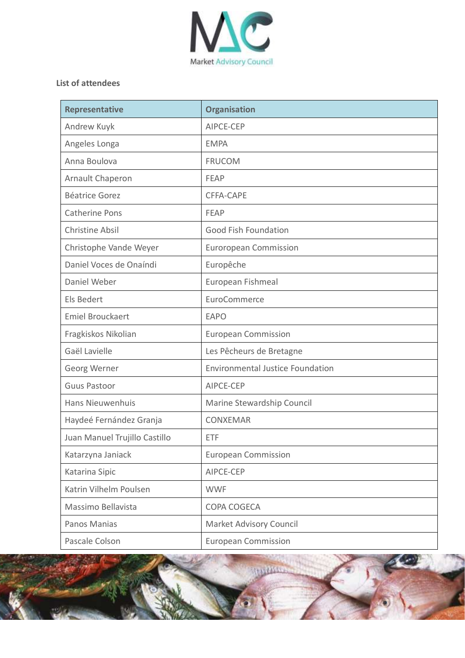

# **List of attendees**

| <b>Representative</b>         | <b>Organisation</b>                     |
|-------------------------------|-----------------------------------------|
| Andrew Kuyk                   | AIPCE-CEP                               |
| Angeles Longa                 | <b>EMPA</b>                             |
| Anna Boulova                  | <b>FRUCOM</b>                           |
| Arnault Chaperon              | <b>FEAP</b>                             |
| <b>Béatrice Gorez</b>         | CFFA-CAPE                               |
| <b>Catherine Pons</b>         | <b>FEAP</b>                             |
| <b>Christine Absil</b>        | <b>Good Fish Foundation</b>             |
| Christophe Vande Weyer        | <b>Euroropean Commission</b>            |
| Daniel Voces de Onaíndi       | Europêche                               |
| Daniel Weber                  | European Fishmeal                       |
| Els Bedert                    | EuroCommerce                            |
| <b>Emiel Brouckaert</b>       | <b>EAPO</b>                             |
| Fragkiskos Nikolian           | <b>European Commission</b>              |
| Gaël Lavielle                 | Les Pêcheurs de Bretagne                |
| Georg Werner                  | <b>Environmental Justice Foundation</b> |
| <b>Guus Pastoor</b>           | AIPCE-CEP                               |
| <b>Hans Nieuwenhuis</b>       | Marine Stewardship Council              |
| Haydeé Fernández Granja       | <b>CONXEMAR</b>                         |
| Juan Manuel Trujillo Castillo | <b>ETF</b>                              |
| Katarzyna Janiack             | <b>European Commission</b>              |
| Katarina Sipic                | AIPCE-CEP                               |
| Katrin Vilhelm Poulsen        | <b>WWF</b>                              |
| Massimo Bellavista            | COPA COGECA                             |
| Panos Manias                  | Market Advisory Council                 |
| Pascale Colson                | <b>European Commission</b>              |